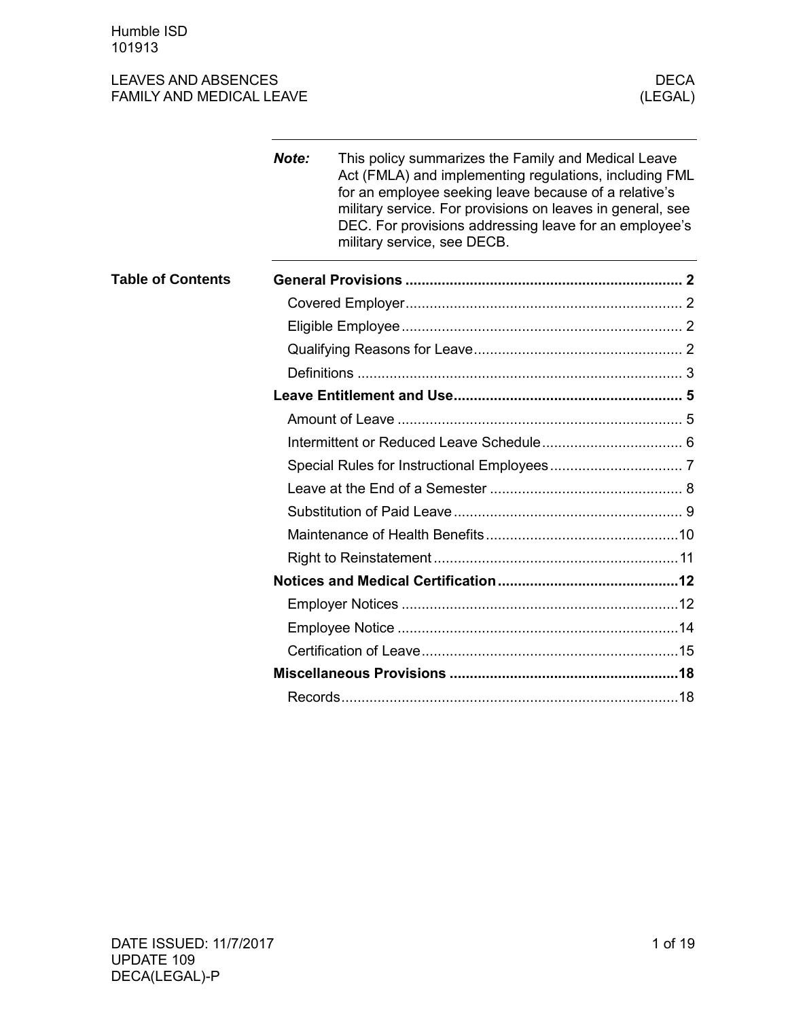Humble ISD 101913

|                          | Note: | This policy summarizes the Family and Medical Leave<br>Act (FMLA) and implementing regulations, including FML<br>for an employee seeking leave because of a relative's<br>military service. For provisions on leaves in general, see<br>DEC. For provisions addressing leave for an employee's<br>military service, see DECB. |  |  |  |  |
|--------------------------|-------|-------------------------------------------------------------------------------------------------------------------------------------------------------------------------------------------------------------------------------------------------------------------------------------------------------------------------------|--|--|--|--|
| <b>Table of Contents</b> |       |                                                                                                                                                                                                                                                                                                                               |  |  |  |  |
|                          |       |                                                                                                                                                                                                                                                                                                                               |  |  |  |  |
|                          |       |                                                                                                                                                                                                                                                                                                                               |  |  |  |  |
|                          |       |                                                                                                                                                                                                                                                                                                                               |  |  |  |  |
|                          |       |                                                                                                                                                                                                                                                                                                                               |  |  |  |  |
|                          |       |                                                                                                                                                                                                                                                                                                                               |  |  |  |  |
|                          |       |                                                                                                                                                                                                                                                                                                                               |  |  |  |  |
|                          |       |                                                                                                                                                                                                                                                                                                                               |  |  |  |  |
|                          |       |                                                                                                                                                                                                                                                                                                                               |  |  |  |  |
|                          |       |                                                                                                                                                                                                                                                                                                                               |  |  |  |  |
|                          |       |                                                                                                                                                                                                                                                                                                                               |  |  |  |  |
|                          |       |                                                                                                                                                                                                                                                                                                                               |  |  |  |  |
|                          |       |                                                                                                                                                                                                                                                                                                                               |  |  |  |  |
|                          |       |                                                                                                                                                                                                                                                                                                                               |  |  |  |  |
|                          |       |                                                                                                                                                                                                                                                                                                                               |  |  |  |  |
|                          |       |                                                                                                                                                                                                                                                                                                                               |  |  |  |  |
|                          |       |                                                                                                                                                                                                                                                                                                                               |  |  |  |  |
|                          |       |                                                                                                                                                                                                                                                                                                                               |  |  |  |  |
|                          |       |                                                                                                                                                                                                                                                                                                                               |  |  |  |  |
|                          |       |                                                                                                                                                                                                                                                                                                                               |  |  |  |  |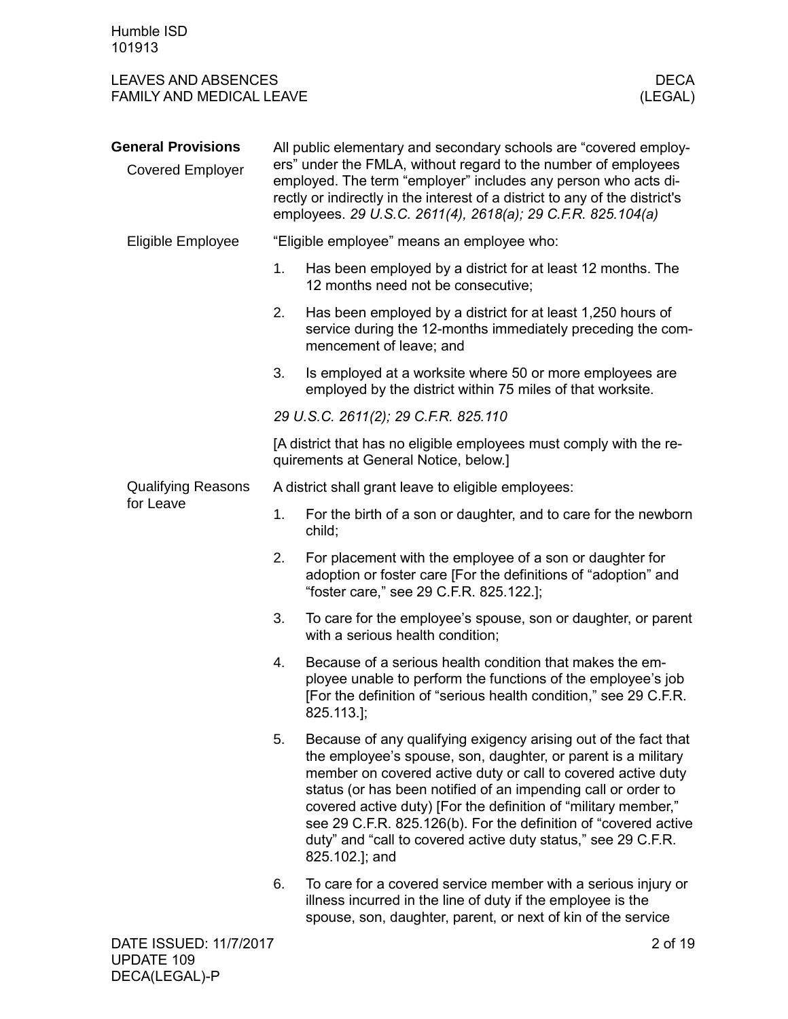<span id="page-1-3"></span><span id="page-1-2"></span><span id="page-1-1"></span><span id="page-1-0"></span>

| <b>LEAVES AND ABSENCES</b><br><b>FAMILY AND MEDICAL LEAVE</b> |                                                     | <b>DECA</b><br>(LEGAL)                                                                                                                                                                                                                                                                                                                                                                                                                                                                    |  |  |
|---------------------------------------------------------------|-----------------------------------------------------|-------------------------------------------------------------------------------------------------------------------------------------------------------------------------------------------------------------------------------------------------------------------------------------------------------------------------------------------------------------------------------------------------------------------------------------------------------------------------------------------|--|--|
| <b>General Provisions</b><br><b>Covered Employer</b>          |                                                     | All public elementary and secondary schools are "covered employ-<br>ers" under the FMLA, without regard to the number of employees<br>employed. The term "employer" includes any person who acts di-<br>rectly or indirectly in the interest of a district to any of the district's<br>employees. 29 U.S.C. 2611(4), 2618(a); 29 C.F.R. 825.104(a)                                                                                                                                        |  |  |
| Eligible Employee                                             |                                                     | "Eligible employee" means an employee who:                                                                                                                                                                                                                                                                                                                                                                                                                                                |  |  |
|                                                               | 1.                                                  | Has been employed by a district for at least 12 months. The<br>12 months need not be consecutive;                                                                                                                                                                                                                                                                                                                                                                                         |  |  |
|                                                               | 2.                                                  | Has been employed by a district for at least 1,250 hours of<br>service during the 12-months immediately preceding the com-<br>mencement of leave; and                                                                                                                                                                                                                                                                                                                                     |  |  |
|                                                               | 3.                                                  | Is employed at a worksite where 50 or more employees are<br>employed by the district within 75 miles of that worksite.                                                                                                                                                                                                                                                                                                                                                                    |  |  |
|                                                               |                                                     | 29 U.S.C. 2611(2); 29 C.F.R. 825.110                                                                                                                                                                                                                                                                                                                                                                                                                                                      |  |  |
|                                                               |                                                     | [A district that has no eligible employees must comply with the re-<br>quirements at General Notice, below.]                                                                                                                                                                                                                                                                                                                                                                              |  |  |
| <b>Qualifying Reasons</b>                                     | A district shall grant leave to eligible employees: |                                                                                                                                                                                                                                                                                                                                                                                                                                                                                           |  |  |
| for Leave                                                     | 1.                                                  | For the birth of a son or daughter, and to care for the newborn<br>child;                                                                                                                                                                                                                                                                                                                                                                                                                 |  |  |
|                                                               | 2.                                                  | For placement with the employee of a son or daughter for<br>adoption or foster care [For the definitions of "adoption" and<br>"foster care," see 29 C.F.R. 825.122.];                                                                                                                                                                                                                                                                                                                     |  |  |
|                                                               | 3.                                                  | To care for the employee's spouse, son or daughter, or parent<br>with a serious health condition;                                                                                                                                                                                                                                                                                                                                                                                         |  |  |
|                                                               | 4.                                                  | Because of a serious health condition that makes the em-<br>ployee unable to perform the functions of the employee's job<br>[For the definition of "serious health condition," see 29 C.F.R.<br>825.113.];                                                                                                                                                                                                                                                                                |  |  |
|                                                               | 5.                                                  | Because of any qualifying exigency arising out of the fact that<br>the employee's spouse, son, daughter, or parent is a military<br>member on covered active duty or call to covered active duty<br>status (or has been notified of an impending call or order to<br>covered active duty) [For the definition of "military member,"<br>see 29 C.F.R. 825.126(b). For the definition of "covered active<br>duty" and "call to covered active duty status," see 29 C.F.R.<br>825.102.]; and |  |  |
|                                                               | 6.                                                  | To care for a covered service member with a serious injury or<br>illness incurred in the line of duty if the employee is the<br>spouse, son, daughter, parent, or next of kin of the service                                                                                                                                                                                                                                                                                              |  |  |
| DATE ISSUED: 11/7/2017                                        |                                                     | 2 of 19                                                                                                                                                                                                                                                                                                                                                                                                                                                                                   |  |  |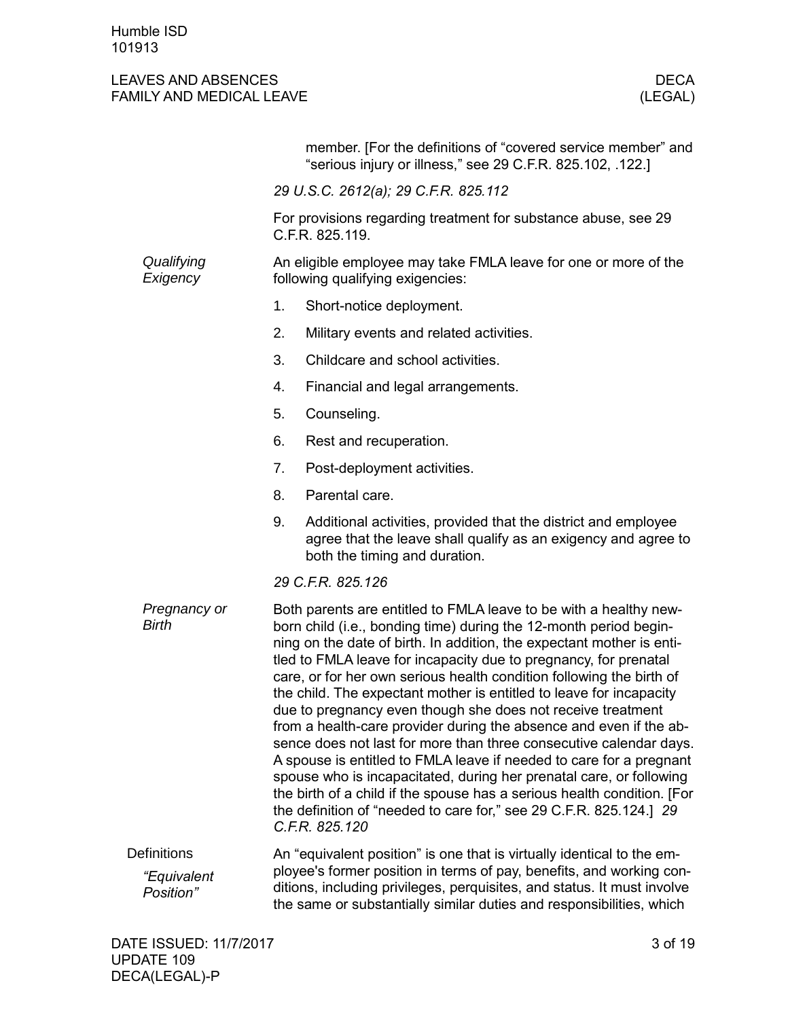<span id="page-2-0"></span>

|                                                       |    | member. [For the definitions of "covered service member" and<br>"serious injury or illness," see 29 C.F.R. 825.102, .122.]                                                                                                                                                                                                                                                                                                                                                                                                                                                                                                                                                                                                                                                                                                                                                                                                                                     |
|-------------------------------------------------------|----|----------------------------------------------------------------------------------------------------------------------------------------------------------------------------------------------------------------------------------------------------------------------------------------------------------------------------------------------------------------------------------------------------------------------------------------------------------------------------------------------------------------------------------------------------------------------------------------------------------------------------------------------------------------------------------------------------------------------------------------------------------------------------------------------------------------------------------------------------------------------------------------------------------------------------------------------------------------|
|                                                       |    | 29 U.S.C. 2612(a); 29 C.F.R. 825.112                                                                                                                                                                                                                                                                                                                                                                                                                                                                                                                                                                                                                                                                                                                                                                                                                                                                                                                           |
|                                                       |    | For provisions regarding treatment for substance abuse, see 29<br>C.F.R. 825.119.                                                                                                                                                                                                                                                                                                                                                                                                                                                                                                                                                                                                                                                                                                                                                                                                                                                                              |
| Qualifying<br>Exigency                                |    | An eligible employee may take FMLA leave for one or more of the<br>following qualifying exigencies:                                                                                                                                                                                                                                                                                                                                                                                                                                                                                                                                                                                                                                                                                                                                                                                                                                                            |
|                                                       | 1. | Short-notice deployment.                                                                                                                                                                                                                                                                                                                                                                                                                                                                                                                                                                                                                                                                                                                                                                                                                                                                                                                                       |
|                                                       | 2. | Military events and related activities.                                                                                                                                                                                                                                                                                                                                                                                                                                                                                                                                                                                                                                                                                                                                                                                                                                                                                                                        |
|                                                       | 3. | Childcare and school activities.                                                                                                                                                                                                                                                                                                                                                                                                                                                                                                                                                                                                                                                                                                                                                                                                                                                                                                                               |
|                                                       | 4. | Financial and legal arrangements.                                                                                                                                                                                                                                                                                                                                                                                                                                                                                                                                                                                                                                                                                                                                                                                                                                                                                                                              |
|                                                       | 5. | Counseling.                                                                                                                                                                                                                                                                                                                                                                                                                                                                                                                                                                                                                                                                                                                                                                                                                                                                                                                                                    |
|                                                       | 6. | Rest and recuperation.                                                                                                                                                                                                                                                                                                                                                                                                                                                                                                                                                                                                                                                                                                                                                                                                                                                                                                                                         |
|                                                       | 7. | Post-deployment activities.                                                                                                                                                                                                                                                                                                                                                                                                                                                                                                                                                                                                                                                                                                                                                                                                                                                                                                                                    |
|                                                       | 8. | Parental care.                                                                                                                                                                                                                                                                                                                                                                                                                                                                                                                                                                                                                                                                                                                                                                                                                                                                                                                                                 |
|                                                       | 9. | Additional activities, provided that the district and employee<br>agree that the leave shall qualify as an exigency and agree to<br>both the timing and duration.                                                                                                                                                                                                                                                                                                                                                                                                                                                                                                                                                                                                                                                                                                                                                                                              |
|                                                       |    | 29 C.F.R. 825.126                                                                                                                                                                                                                                                                                                                                                                                                                                                                                                                                                                                                                                                                                                                                                                                                                                                                                                                                              |
| Pregnancy or<br><b>Birth</b>                          |    | Both parents are entitled to FMLA leave to be with a healthy new-<br>born child (i.e., bonding time) during the 12-month period begin-<br>ning on the date of birth. In addition, the expectant mother is enti-<br>tled to FMLA leave for incapacity due to pregnancy, for prenatal<br>care, or for her own serious health condition following the birth of<br>the child. The expectant mother is entitled to leave for incapacity<br>due to pregnancy even though she does not receive treatment<br>from a health-care provider during the absence and even if the ab-<br>sence does not last for more than three consecutive calendar days.<br>A spouse is entitled to FMLA leave if needed to care for a pregnant<br>spouse who is incapacitated, during her prenatal care, or following<br>the birth of a child if the spouse has a serious health condition. [For<br>the definition of "needed to care for," see 29 C.F.R. 825.124.] 29<br>C.F.R. 825.120 |
| <b>Definitions</b><br><i>"Equivalent</i><br>Position" |    | An "equivalent position" is one that is virtually identical to the em-<br>ployee's former position in terms of pay, benefits, and working con-<br>ditions, including privileges, perquisites, and status. It must involve<br>the same or substantially similar duties and responsibilities, which                                                                                                                                                                                                                                                                                                                                                                                                                                                                                                                                                                                                                                                              |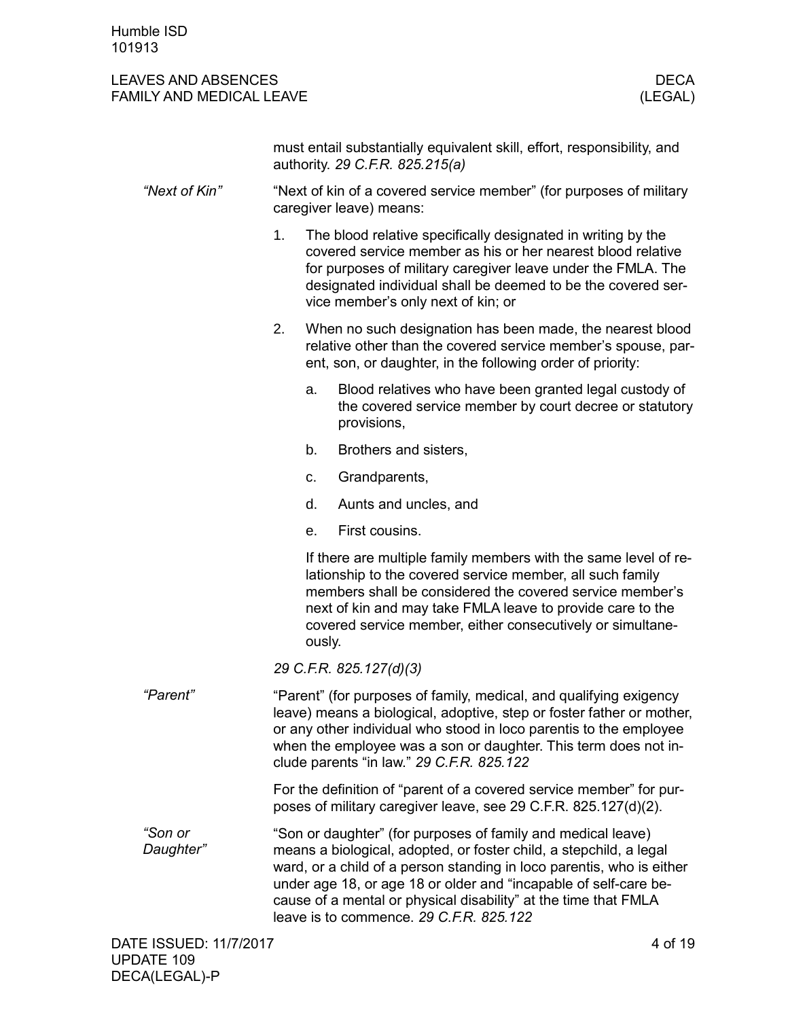|                      |    |             | must entail substantially equivalent skill, effort, responsibility, and<br>authority. 29 C.F.R. 825.215(a)                                                                                                                                                                                                                                                                                    |
|----------------------|----|-------------|-----------------------------------------------------------------------------------------------------------------------------------------------------------------------------------------------------------------------------------------------------------------------------------------------------------------------------------------------------------------------------------------------|
| "Next of Kin"        |    |             | "Next of kin of a covered service member" (for purposes of military<br>caregiver leave) means:                                                                                                                                                                                                                                                                                                |
|                      | 1. |             | The blood relative specifically designated in writing by the<br>covered service member as his or her nearest blood relative<br>for purposes of military caregiver leave under the FMLA. The<br>designated individual shall be deemed to be the covered ser-<br>vice member's only next of kin; or                                                                                             |
|                      | 2. |             | When no such designation has been made, the nearest blood<br>relative other than the covered service member's spouse, par-<br>ent, son, or daughter, in the following order of priority:                                                                                                                                                                                                      |
|                      |    | a.          | Blood relatives who have been granted legal custody of<br>the covered service member by court decree or statutory<br>provisions,                                                                                                                                                                                                                                                              |
|                      |    | b.          | Brothers and sisters,                                                                                                                                                                                                                                                                                                                                                                         |
|                      |    | $C_{\cdot}$ | Grandparents,                                                                                                                                                                                                                                                                                                                                                                                 |
|                      |    | d.          | Aunts and uncles, and                                                                                                                                                                                                                                                                                                                                                                         |
|                      |    | e.          | First cousins.                                                                                                                                                                                                                                                                                                                                                                                |
|                      |    | ously.      | If there are multiple family members with the same level of re-<br>lationship to the covered service member, all such family<br>members shall be considered the covered service member's<br>next of kin and may take FMLA leave to provide care to the<br>covered service member, either consecutively or simultane-                                                                          |
|                      |    |             | 29 C.F.R. 825.127(d)(3)                                                                                                                                                                                                                                                                                                                                                                       |
| "Parent"             |    |             | "Parent" (for purposes of family, medical, and qualifying exigency<br>leave) means a biological, adoptive, step or foster father or mother,<br>or any other individual who stood in loco parentis to the employee<br>when the employee was a son or daughter. This term does not in-<br>clude parents "in law." 29 C.F.R. 825.122                                                             |
|                      |    |             | For the definition of "parent of a covered service member" for pur-<br>poses of military caregiver leave, see 29 C.F.R. 825.127(d)(2).                                                                                                                                                                                                                                                        |
| "Son or<br>Daughter" |    |             | "Son or daughter" (for purposes of family and medical leave)<br>means a biological, adopted, or foster child, a stepchild, a legal<br>ward, or a child of a person standing in loco parentis, who is either<br>under age 18, or age 18 or older and "incapable of self-care be-<br>cause of a mental or physical disability" at the time that FMLA<br>leave is to commence. 29 C.F.R. 825.122 |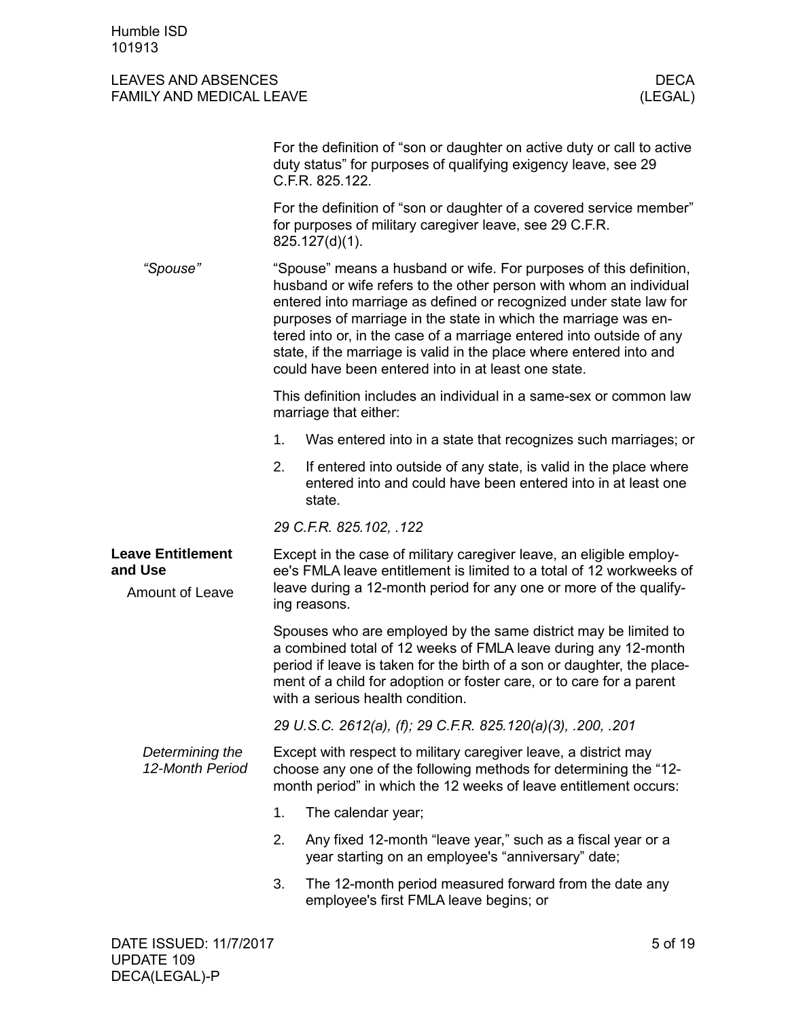<span id="page-4-1"></span><span id="page-4-0"></span>

|                                                               |    | For the definition of "son or daughter on active duty or call to active<br>duty status" for purposes of qualifying exigency leave, see 29<br>C.F.R. 825.122.                                                                                                                                                                                                                                                                                                                            |
|---------------------------------------------------------------|----|-----------------------------------------------------------------------------------------------------------------------------------------------------------------------------------------------------------------------------------------------------------------------------------------------------------------------------------------------------------------------------------------------------------------------------------------------------------------------------------------|
|                                                               |    | For the definition of "son or daughter of a covered service member"<br>for purposes of military caregiver leave, see 29 C.F.R.<br>825.127(d)(1).                                                                                                                                                                                                                                                                                                                                        |
| "Spouse"                                                      |    | "Spouse" means a husband or wife. For purposes of this definition,<br>husband or wife refers to the other person with whom an individual<br>entered into marriage as defined or recognized under state law for<br>purposes of marriage in the state in which the marriage was en-<br>tered into or, in the case of a marriage entered into outside of any<br>state, if the marriage is valid in the place where entered into and<br>could have been entered into in at least one state. |
|                                                               |    | This definition includes an individual in a same-sex or common law<br>marriage that either:                                                                                                                                                                                                                                                                                                                                                                                             |
|                                                               | 1. | Was entered into in a state that recognizes such marriages; or                                                                                                                                                                                                                                                                                                                                                                                                                          |
|                                                               | 2. | If entered into outside of any state, is valid in the place where<br>entered into and could have been entered into in at least one<br>state.                                                                                                                                                                                                                                                                                                                                            |
|                                                               |    | 29 C.F.R. 825.102, .122                                                                                                                                                                                                                                                                                                                                                                                                                                                                 |
| <b>Leave Entitlement</b><br>and Use<br><b>Amount of Leave</b> |    | Except in the case of military caregiver leave, an eligible employ-<br>ee's FMLA leave entitlement is limited to a total of 12 workweeks of<br>leave during a 12-month period for any one or more of the qualify-<br>ing reasons.                                                                                                                                                                                                                                                       |
|                                                               |    | Spouses who are employed by the same district may be limited to<br>a combined total of 12 weeks of FMLA leave during any 12-month<br>period if leave is taken for the birth of a son or daughter, the place-<br>ment of a child for adoption or foster care, or to care for a parent<br>with a serious health condition.                                                                                                                                                                |
|                                                               |    | 29 U.S.C. 2612(a), (f); 29 C.F.R. 825.120(a)(3), .200, .201                                                                                                                                                                                                                                                                                                                                                                                                                             |
| Determining the<br>12-Month Period                            |    | Except with respect to military caregiver leave, a district may<br>choose any one of the following methods for determining the "12-<br>month period" in which the 12 weeks of leave entitlement occurs:                                                                                                                                                                                                                                                                                 |
|                                                               | 1. | The calendar year;                                                                                                                                                                                                                                                                                                                                                                                                                                                                      |
|                                                               | 2. | Any fixed 12-month "leave year," such as a fiscal year or a<br>year starting on an employee's "anniversary" date;                                                                                                                                                                                                                                                                                                                                                                       |
|                                                               | 3. | The 12-month period measured forward from the date any<br>employee's first FMLA leave begins; or                                                                                                                                                                                                                                                                                                                                                                                        |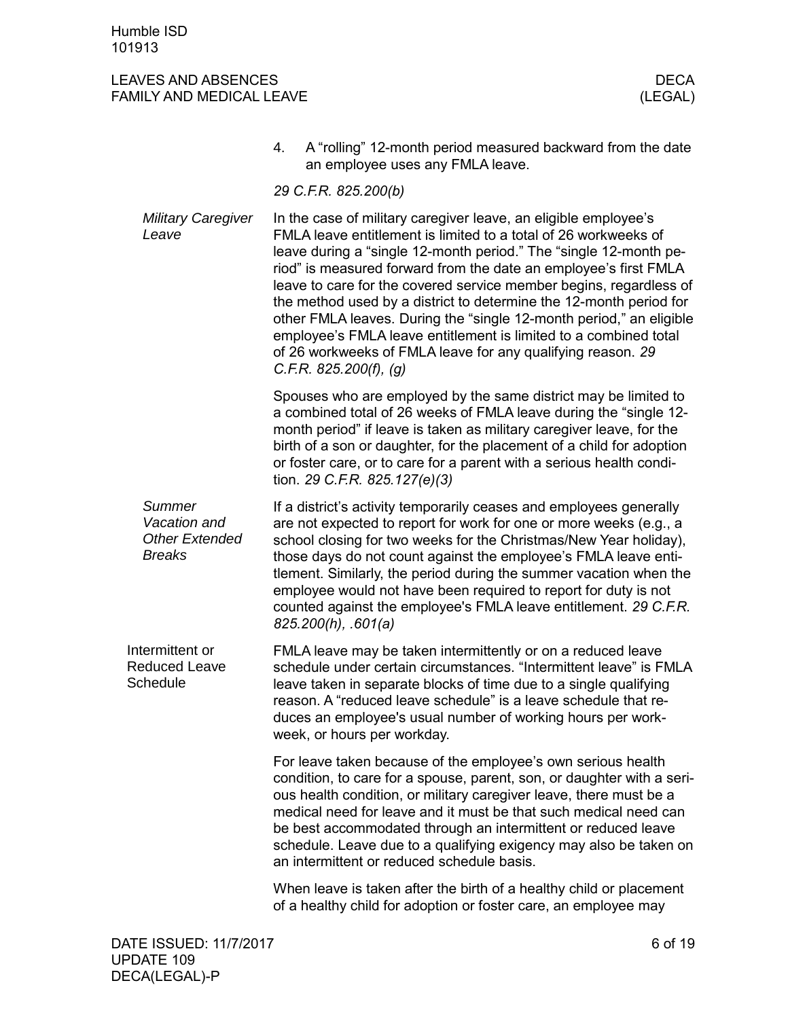<span id="page-5-0"></span>

|                                                                  | A "rolling" 12-month period measured backward from the date<br>4.<br>an employee uses any FMLA leave.                                                                                                                                                                                                                                                                                                                                                                                                                                                                                                                                                         |
|------------------------------------------------------------------|---------------------------------------------------------------------------------------------------------------------------------------------------------------------------------------------------------------------------------------------------------------------------------------------------------------------------------------------------------------------------------------------------------------------------------------------------------------------------------------------------------------------------------------------------------------------------------------------------------------------------------------------------------------|
|                                                                  | 29 C.F.R. 825.200(b)                                                                                                                                                                                                                                                                                                                                                                                                                                                                                                                                                                                                                                          |
| <b>Military Caregiver</b><br>Leave                               | In the case of military caregiver leave, an eligible employee's<br>FMLA leave entitlement is limited to a total of 26 workweeks of<br>leave during a "single 12-month period." The "single 12-month pe-<br>riod" is measured forward from the date an employee's first FMLA<br>leave to care for the covered service member begins, regardless of<br>the method used by a district to determine the 12-month period for<br>other FMLA leaves. During the "single 12-month period," an eligible<br>employee's FMLA leave entitlement is limited to a combined total<br>of 26 workweeks of FMLA leave for any qualifying reason. 29<br>C.F.R. 825.200(f), $(g)$ |
|                                                                  | Spouses who are employed by the same district may be limited to<br>a combined total of 26 weeks of FMLA leave during the "single 12-<br>month period" if leave is taken as military caregiver leave, for the<br>birth of a son or daughter, for the placement of a child for adoption<br>or foster care, or to care for a parent with a serious health condi-<br>tion. 29 C.F.R. 825.127(e)(3)                                                                                                                                                                                                                                                                |
| Summer<br>Vacation and<br><b>Other Extended</b><br><b>Breaks</b> | If a district's activity temporarily ceases and employees generally<br>are not expected to report for work for one or more weeks (e.g., a<br>school closing for two weeks for the Christmas/New Year holiday),<br>those days do not count against the employee's FMLA leave enti-<br>tlement. Similarly, the period during the summer vacation when the<br>employee would not have been required to report for duty is not<br>counted against the employee's FMLA leave entitlement. 29 C.F.R.<br>$825.200(h)$ , .601(a)                                                                                                                                      |
| Intermittent or<br><b>Reduced Leave</b><br>Schedule              | FMLA leave may be taken intermittently or on a reduced leave<br>schedule under certain circumstances. "Intermittent leave" is FMLA<br>leave taken in separate blocks of time due to a single qualifying<br>reason. A "reduced leave schedule" is a leave schedule that re-<br>duces an employee's usual number of working hours per work-<br>week, or hours per workday.                                                                                                                                                                                                                                                                                      |
|                                                                  | For leave taken because of the employee's own serious health<br>condition, to care for a spouse, parent, son, or daughter with a seri-<br>ous health condition, or military caregiver leave, there must be a<br>medical need for leave and it must be that such medical need can<br>be best accommodated through an intermittent or reduced leave<br>schedule. Leave due to a qualifying exigency may also be taken on<br>an intermittent or reduced schedule basis.                                                                                                                                                                                          |
|                                                                  | When leave is taken after the birth of a healthy child or placement<br>of a healthy child for adoption or foster care, an employee may                                                                                                                                                                                                                                                                                                                                                                                                                                                                                                                        |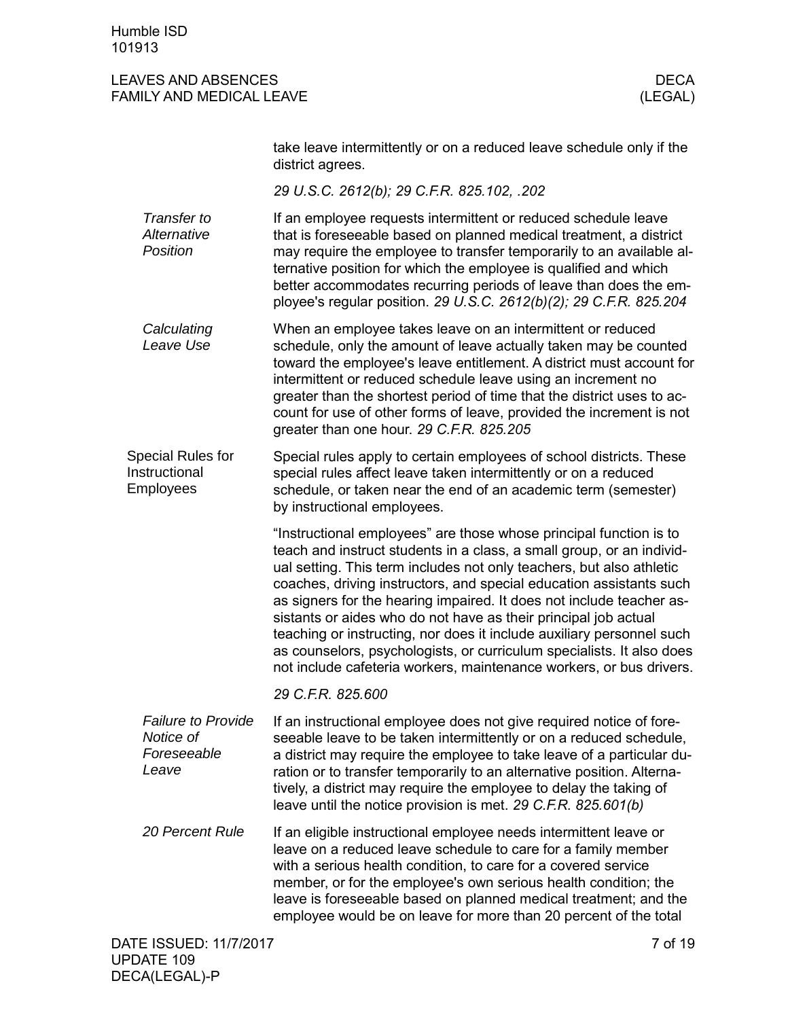<span id="page-6-0"></span>

|                                                                | take leave intermittently or on a reduced leave schedule only if the<br>district agrees.                                                                                                                                                                                                                                                                                                                                                                                                                                                                                                                                                                       |
|----------------------------------------------------------------|----------------------------------------------------------------------------------------------------------------------------------------------------------------------------------------------------------------------------------------------------------------------------------------------------------------------------------------------------------------------------------------------------------------------------------------------------------------------------------------------------------------------------------------------------------------------------------------------------------------------------------------------------------------|
|                                                                | 29 U.S.C. 2612(b); 29 C.F.R. 825.102, .202                                                                                                                                                                                                                                                                                                                                                                                                                                                                                                                                                                                                                     |
| Transfer to<br>Alternative<br><b>Position</b>                  | If an employee requests intermittent or reduced schedule leave<br>that is foreseeable based on planned medical treatment, a district<br>may require the employee to transfer temporarily to an available al-<br>ternative position for which the employee is qualified and which<br>better accommodates recurring periods of leave than does the em-<br>ployee's regular position. 29 U.S.C. 2612(b)(2); 29 C.F.R. 825.204                                                                                                                                                                                                                                     |
| Calculating<br>Leave Use                                       | When an employee takes leave on an intermittent or reduced<br>schedule, only the amount of leave actually taken may be counted<br>toward the employee's leave entitlement. A district must account for<br>intermittent or reduced schedule leave using an increment no<br>greater than the shortest period of time that the district uses to ac-<br>count for use of other forms of leave, provided the increment is not<br>greater than one hour. 29 C.F.R. 825.205                                                                                                                                                                                           |
| <b>Special Rules for</b><br>Instructional<br>Employees         | Special rules apply to certain employees of school districts. These<br>special rules affect leave taken intermittently or on a reduced<br>schedule, or taken near the end of an academic term (semester)<br>by instructional employees.                                                                                                                                                                                                                                                                                                                                                                                                                        |
|                                                                | "Instructional employees" are those whose principal function is to<br>teach and instruct students in a class, a small group, or an individ-<br>ual setting. This term includes not only teachers, but also athletic<br>coaches, driving instructors, and special education assistants such<br>as signers for the hearing impaired. It does not include teacher as-<br>sistants or aides who do not have as their principal job actual<br>teaching or instructing, nor does it include auxiliary personnel such<br>as counselors, psychologists, or curriculum specialists. It also does<br>not include cafeteria workers, maintenance workers, or bus drivers. |
|                                                                | 29 C.F.R. 825,600                                                                                                                                                                                                                                                                                                                                                                                                                                                                                                                                                                                                                                              |
| <b>Failure to Provide</b><br>Notice of<br>Foreseeable<br>Leave | If an instructional employee does not give required notice of fore-<br>seeable leave to be taken intermittently or on a reduced schedule,<br>a district may require the employee to take leave of a particular du-<br>ration or to transfer temporarily to an alternative position. Alterna-<br>tively, a district may require the employee to delay the taking of<br>leave until the notice provision is met. 29 C.F.R. 825.601(b)                                                                                                                                                                                                                            |
| <b>20 Percent Rule</b>                                         | If an eligible instructional employee needs intermittent leave or<br>leave on a reduced leave schedule to care for a family member<br>with a serious health condition, to care for a covered service<br>member, or for the employee's own serious health condition; the<br>leave is foreseeable based on planned medical treatment; and the<br>employee would be on leave for more than 20 percent of the total                                                                                                                                                                                                                                                |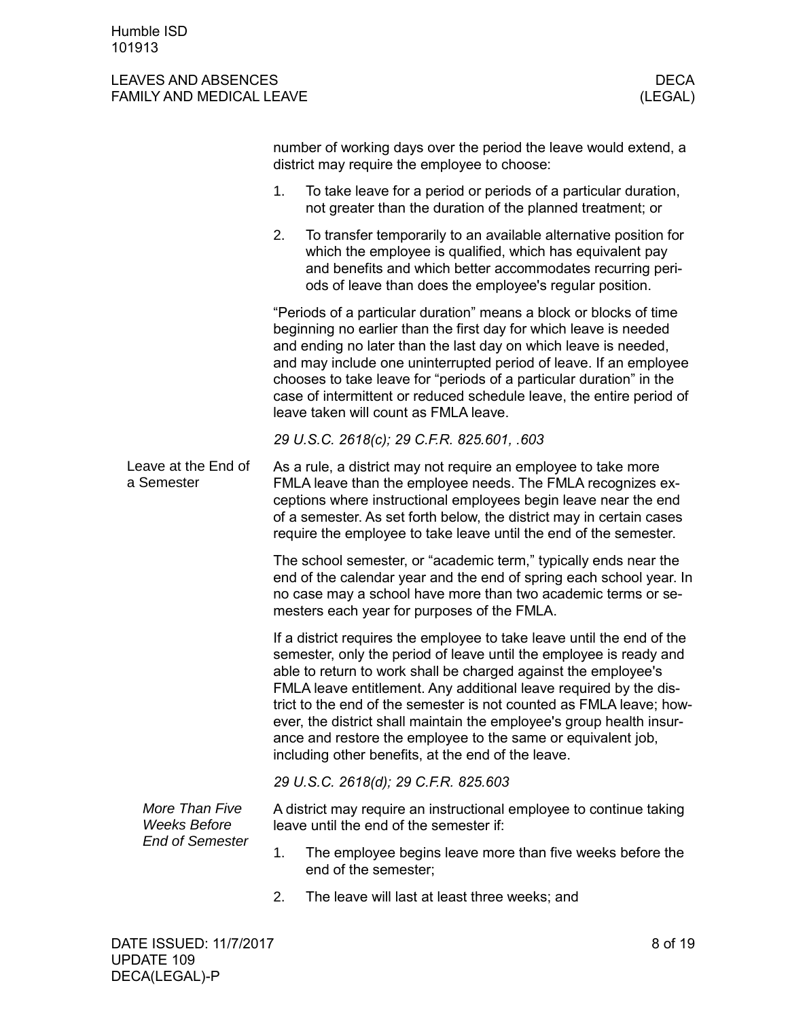<span id="page-7-0"></span>

|  |                                       |                                                                                                                                                                                                                                                                                                                                                                                                                                                                                                                                                          | number of working days over the period the leave would extend, a<br>district may require the employee to choose:                                                                                                                                                                                                                              |  |
|--|---------------------------------------|----------------------------------------------------------------------------------------------------------------------------------------------------------------------------------------------------------------------------------------------------------------------------------------------------------------------------------------------------------------------------------------------------------------------------------------------------------------------------------------------------------------------------------------------------------|-----------------------------------------------------------------------------------------------------------------------------------------------------------------------------------------------------------------------------------------------------------------------------------------------------------------------------------------------|--|
|  |                                       | 1.                                                                                                                                                                                                                                                                                                                                                                                                                                                                                                                                                       | To take leave for a period or periods of a particular duration,<br>not greater than the duration of the planned treatment; or                                                                                                                                                                                                                 |  |
|  |                                       | 2.                                                                                                                                                                                                                                                                                                                                                                                                                                                                                                                                                       | To transfer temporarily to an available alternative position for<br>which the employee is qualified, which has equivalent pay<br>and benefits and which better accommodates recurring peri-<br>ods of leave than does the employee's regular position.                                                                                        |  |
|  |                                       | "Periods of a particular duration" means a block or blocks of time<br>beginning no earlier than the first day for which leave is needed<br>and ending no later than the last day on which leave is needed,<br>and may include one uninterrupted period of leave. If an employee<br>chooses to take leave for "periods of a particular duration" in the<br>case of intermittent or reduced schedule leave, the entire period of<br>leave taken will count as FMLA leave.                                                                                  |                                                                                                                                                                                                                                                                                                                                               |  |
|  |                                       | 29 U.S.C. 2618(c); 29 C.F.R. 825.601, .603                                                                                                                                                                                                                                                                                                                                                                                                                                                                                                               |                                                                                                                                                                                                                                                                                                                                               |  |
|  | Leave at the End of<br>a Semester     |                                                                                                                                                                                                                                                                                                                                                                                                                                                                                                                                                          | As a rule, a district may not require an employee to take more<br>FMLA leave than the employee needs. The FMLA recognizes ex-<br>ceptions where instructional employees begin leave near the end<br>of a semester. As set forth below, the district may in certain cases<br>require the employee to take leave until the end of the semester. |  |
|  |                                       |                                                                                                                                                                                                                                                                                                                                                                                                                                                                                                                                                          | The school semester, or "academic term," typically ends near the<br>end of the calendar year and the end of spring each school year. In<br>no case may a school have more than two academic terms or se-<br>mesters each year for purposes of the FMLA.                                                                                       |  |
|  |                                       | If a district requires the employee to take leave until the end of the<br>semester, only the period of leave until the employee is ready and<br>able to return to work shall be charged against the employee's<br>FMLA leave entitlement. Any additional leave required by the dis-<br>trict to the end of the semester is not counted as FMLA leave; how-<br>ever, the district shall maintain the employee's group health insur-<br>ance and restore the employee to the same or equivalent job,<br>including other benefits, at the end of the leave. |                                                                                                                                                                                                                                                                                                                                               |  |
|  |                                       |                                                                                                                                                                                                                                                                                                                                                                                                                                                                                                                                                          | 29 U.S.C. 2618(d); 29 C.F.R. 825.603                                                                                                                                                                                                                                                                                                          |  |
|  | More Than Five<br><b>Weeks Before</b> |                                                                                                                                                                                                                                                                                                                                                                                                                                                                                                                                                          | A district may require an instructional employee to continue taking<br>leave until the end of the semester if:                                                                                                                                                                                                                                |  |
|  | <b>End of Semester</b>                | 1.                                                                                                                                                                                                                                                                                                                                                                                                                                                                                                                                                       | The employee begins leave more than five weeks before the<br>end of the semester;                                                                                                                                                                                                                                                             |  |
|  |                                       | 2.                                                                                                                                                                                                                                                                                                                                                                                                                                                                                                                                                       | The leave will last at least three weeks; and                                                                                                                                                                                                                                                                                                 |  |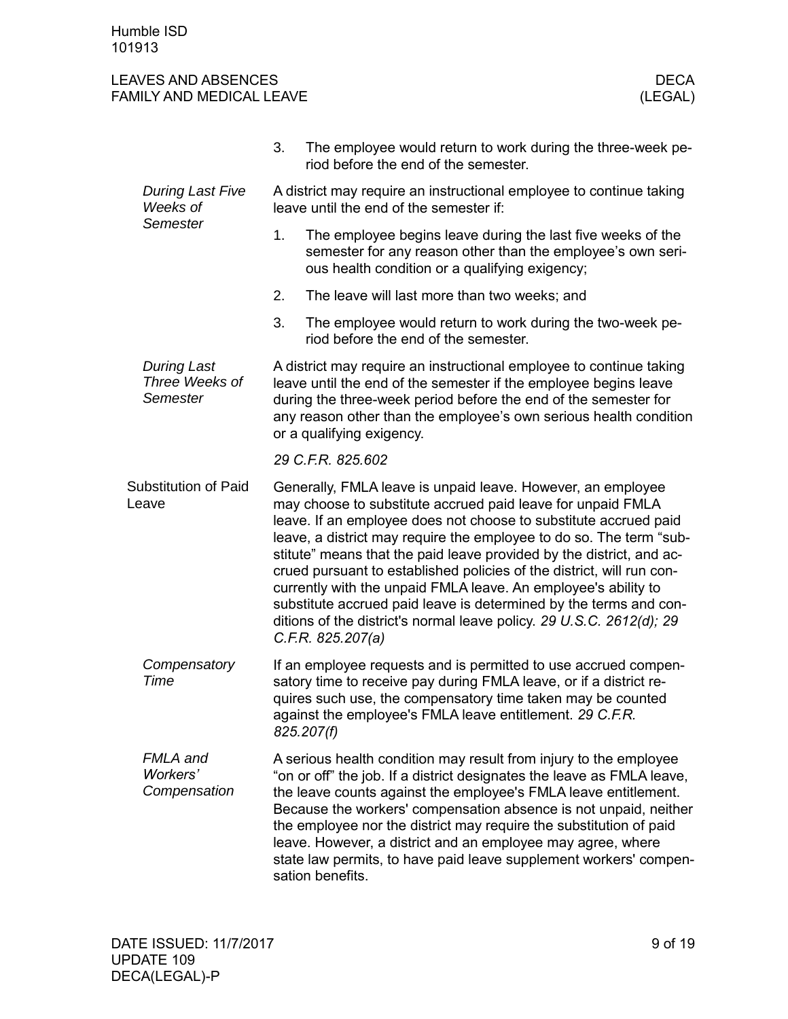<span id="page-8-0"></span>

|                                                  | 3.                                                                                                                                                                                                                                                                                                                                                                                                                                                                                                                                                                                                                                                         | The employee would return to work during the three-week pe-<br>riod before the end of the semester.                                                                                                                                                                                                                                                                                                                                                                                                              |  |
|--------------------------------------------------|------------------------------------------------------------------------------------------------------------------------------------------------------------------------------------------------------------------------------------------------------------------------------------------------------------------------------------------------------------------------------------------------------------------------------------------------------------------------------------------------------------------------------------------------------------------------------------------------------------------------------------------------------------|------------------------------------------------------------------------------------------------------------------------------------------------------------------------------------------------------------------------------------------------------------------------------------------------------------------------------------------------------------------------------------------------------------------------------------------------------------------------------------------------------------------|--|
| <b>During Last Five</b><br>Weeks of              | A district may require an instructional employee to continue taking<br>leave until the end of the semester if:                                                                                                                                                                                                                                                                                                                                                                                                                                                                                                                                             |                                                                                                                                                                                                                                                                                                                                                                                                                                                                                                                  |  |
| Semester                                         | 1.                                                                                                                                                                                                                                                                                                                                                                                                                                                                                                                                                                                                                                                         | The employee begins leave during the last five weeks of the<br>semester for any reason other than the employee's own seri-<br>ous health condition or a qualifying exigency;                                                                                                                                                                                                                                                                                                                                     |  |
|                                                  | 2.                                                                                                                                                                                                                                                                                                                                                                                                                                                                                                                                                                                                                                                         | The leave will last more than two weeks; and                                                                                                                                                                                                                                                                                                                                                                                                                                                                     |  |
|                                                  | 3.                                                                                                                                                                                                                                                                                                                                                                                                                                                                                                                                                                                                                                                         | The employee would return to work during the two-week pe-<br>riod before the end of the semester.                                                                                                                                                                                                                                                                                                                                                                                                                |  |
| <b>During Last</b><br>Three Weeks of<br>Semester | A district may require an instructional employee to continue taking<br>leave until the end of the semester if the employee begins leave<br>during the three-week period before the end of the semester for<br>any reason other than the employee's own serious health condition<br>or a qualifying exigency.                                                                                                                                                                                                                                                                                                                                               |                                                                                                                                                                                                                                                                                                                                                                                                                                                                                                                  |  |
|                                                  | 29 C.F.R. 825.602                                                                                                                                                                                                                                                                                                                                                                                                                                                                                                                                                                                                                                          |                                                                                                                                                                                                                                                                                                                                                                                                                                                                                                                  |  |
| <b>Substitution of Paid</b><br>Leave             | Generally, FMLA leave is unpaid leave. However, an employee<br>may choose to substitute accrued paid leave for unpaid FMLA<br>leave. If an employee does not choose to substitute accrued paid<br>leave, a district may require the employee to do so. The term "sub-<br>stitute" means that the paid leave provided by the district, and ac-<br>crued pursuant to established policies of the district, will run con-<br>currently with the unpaid FMLA leave. An employee's ability to<br>substitute accrued paid leave is determined by the terms and con-<br>ditions of the district's normal leave policy. 29 U.S.C. 2612(d); 29<br>C.F.R. 825.207(a) |                                                                                                                                                                                                                                                                                                                                                                                                                                                                                                                  |  |
| Compensatory<br>Time                             |                                                                                                                                                                                                                                                                                                                                                                                                                                                                                                                                                                                                                                                            | If an employee requests and is permitted to use accrued compen-<br>satory time to receive pay during FMLA leave, or if a district re-<br>quires such use, the compensatory time taken may be counted<br>against the employee's FMLA leave entitlement. 29 C.F.R.<br>825.207(f)                                                                                                                                                                                                                                   |  |
| FMLA and<br>Workers'<br>Compensation             |                                                                                                                                                                                                                                                                                                                                                                                                                                                                                                                                                                                                                                                            | A serious health condition may result from injury to the employee<br>"on or off" the job. If a district designates the leave as FMLA leave,<br>the leave counts against the employee's FMLA leave entitlement.<br>Because the workers' compensation absence is not unpaid, neither<br>the employee nor the district may require the substitution of paid<br>leave. However, a district and an employee may agree, where<br>state law permits, to have paid leave supplement workers' compen-<br>sation benefits. |  |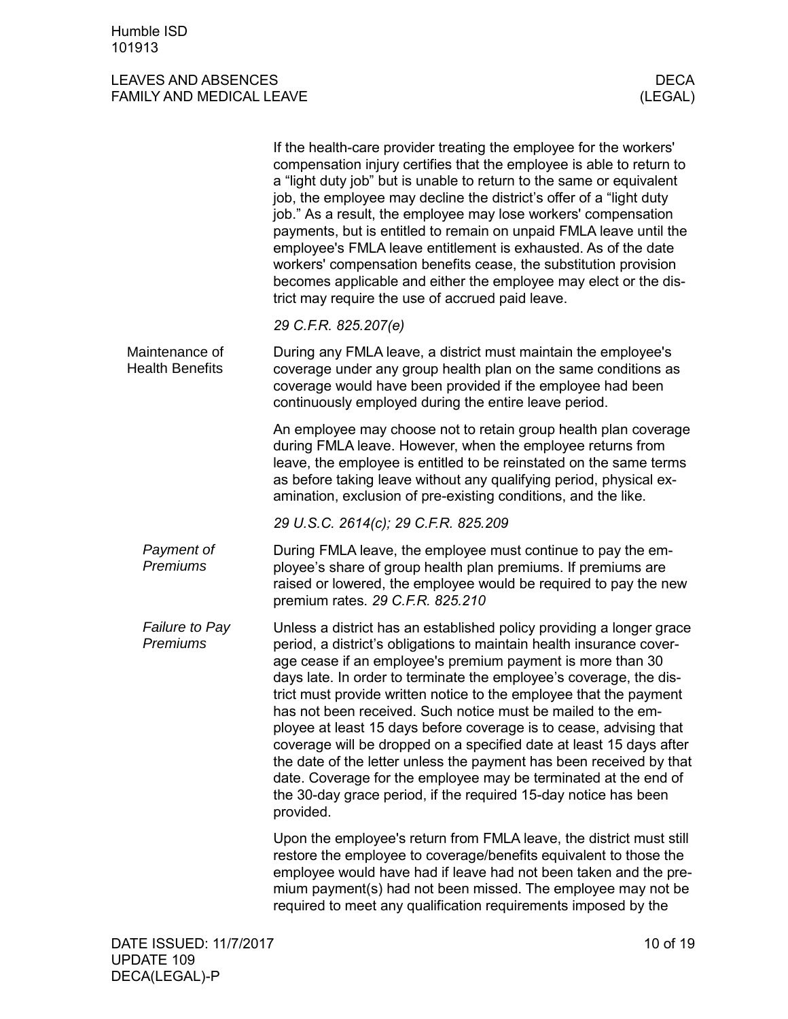<span id="page-9-0"></span>

|                                          | If the health-care provider treating the employee for the workers'<br>compensation injury certifies that the employee is able to return to<br>a "light duty job" but is unable to return to the same or equivalent<br>job, the employee may decline the district's offer of a "light duty<br>job." As a result, the employee may lose workers' compensation<br>payments, but is entitled to remain on unpaid FMLA leave until the<br>employee's FMLA leave entitlement is exhausted. As of the date<br>workers' compensation benefits cease, the substitution provision<br>becomes applicable and either the employee may elect or the dis-<br>trict may require the use of accrued paid leave.                                                                                               |
|------------------------------------------|-----------------------------------------------------------------------------------------------------------------------------------------------------------------------------------------------------------------------------------------------------------------------------------------------------------------------------------------------------------------------------------------------------------------------------------------------------------------------------------------------------------------------------------------------------------------------------------------------------------------------------------------------------------------------------------------------------------------------------------------------------------------------------------------------|
|                                          | 29 C.F.R. 825.207(e)                                                                                                                                                                                                                                                                                                                                                                                                                                                                                                                                                                                                                                                                                                                                                                          |
| Maintenance of<br><b>Health Benefits</b> | During any FMLA leave, a district must maintain the employee's<br>coverage under any group health plan on the same conditions as<br>coverage would have been provided if the employee had been<br>continuously employed during the entire leave period.                                                                                                                                                                                                                                                                                                                                                                                                                                                                                                                                       |
|                                          | An employee may choose not to retain group health plan coverage<br>during FMLA leave. However, when the employee returns from<br>leave, the employee is entitled to be reinstated on the same terms<br>as before taking leave without any qualifying period, physical ex-<br>amination, exclusion of pre-existing conditions, and the like.                                                                                                                                                                                                                                                                                                                                                                                                                                                   |
|                                          | 29 U.S.C. 2614(c); 29 C.F.R. 825.209                                                                                                                                                                                                                                                                                                                                                                                                                                                                                                                                                                                                                                                                                                                                                          |
| Payment of<br>Premiums                   | During FMLA leave, the employee must continue to pay the em-<br>ployee's share of group health plan premiums. If premiums are<br>raised or lowered, the employee would be required to pay the new<br>premium rates. 29 C.F.R. 825.210                                                                                                                                                                                                                                                                                                                                                                                                                                                                                                                                                         |
| Failure to Pay<br>Premiums               | Unless a district has an established policy providing a longer grace<br>period, a district's obligations to maintain health insurance cover-<br>age cease if an employee's premium payment is more than 30<br>days late. In order to terminate the employee's coverage, the dis-<br>trict must provide written notice to the employee that the payment<br>has not been received. Such notice must be mailed to the em-<br>ployee at least 15 days before coverage is to cease, advising that<br>coverage will be dropped on a specified date at least 15 days after<br>the date of the letter unless the payment has been received by that<br>date. Coverage for the employee may be terminated at the end of<br>the 30-day grace period, if the required 15-day notice has been<br>provided. |
|                                          | Upon the employee's return from FMLA leave, the district must still<br>restore the employee to coverage/benefits equivalent to those the<br>employee would have had if leave had not been taken and the pre-<br>mium payment(s) had not been missed. The employee may not be<br>required to meet any qualification requirements imposed by the                                                                                                                                                                                                                                                                                                                                                                                                                                                |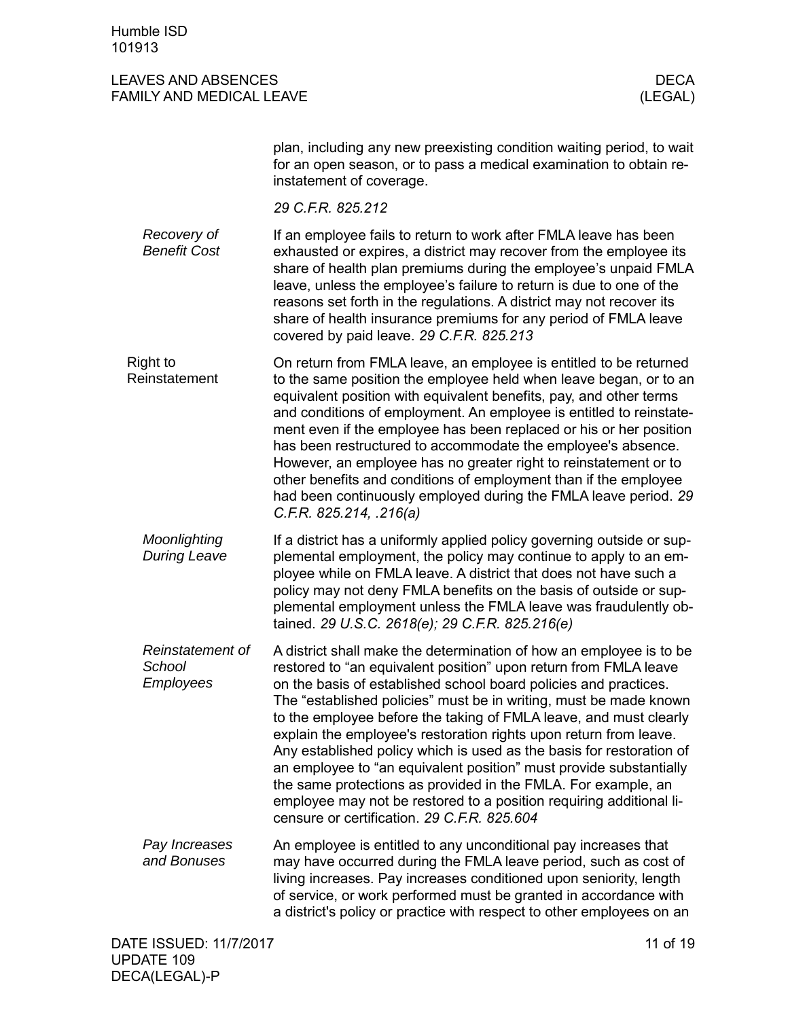<span id="page-10-0"></span>

|                                         | plan, including any new preexisting condition waiting period, to wait<br>for an open season, or to pass a medical examination to obtain re-<br>instatement of coverage.                                                                                                                                                                                                                                                                                                                                                                                                                                                                                                                                                                                         |
|-----------------------------------------|-----------------------------------------------------------------------------------------------------------------------------------------------------------------------------------------------------------------------------------------------------------------------------------------------------------------------------------------------------------------------------------------------------------------------------------------------------------------------------------------------------------------------------------------------------------------------------------------------------------------------------------------------------------------------------------------------------------------------------------------------------------------|
|                                         | 29 C.F.R. 825.212                                                                                                                                                                                                                                                                                                                                                                                                                                                                                                                                                                                                                                                                                                                                               |
| Recovery of<br><b>Benefit Cost</b>      | If an employee fails to return to work after FMLA leave has been<br>exhausted or expires, a district may recover from the employee its<br>share of health plan premiums during the employee's unpaid FMLA<br>leave, unless the employee's failure to return is due to one of the<br>reasons set forth in the regulations. A district may not recover its<br>share of health insurance premiums for any period of FMLA leave<br>covered by paid leave. 29 C.F.R. 825.213                                                                                                                                                                                                                                                                                         |
| <b>Right to</b><br>Reinstatement        | On return from FMLA leave, an employee is entitled to be returned<br>to the same position the employee held when leave began, or to an<br>equivalent position with equivalent benefits, pay, and other terms<br>and conditions of employment. An employee is entitled to reinstate-<br>ment even if the employee has been replaced or his or her position<br>has been restructured to accommodate the employee's absence.<br>However, an employee has no greater right to reinstatement or to<br>other benefits and conditions of employment than if the employee<br>had been continuously employed during the FMLA leave period. 29<br>C.F.R. 825.214, .216(a)                                                                                                 |
| Moonlighting<br><b>During Leave</b>     | If a district has a uniformly applied policy governing outside or sup-<br>plemental employment, the policy may continue to apply to an em-<br>ployee while on FMLA leave. A district that does not have such a<br>policy may not deny FMLA benefits on the basis of outside or sup-<br>plemental employment unless the FMLA leave was fraudulently ob-<br>tained. 29 U.S.C. 2618(e); 29 C.F.R. 825.216(e)                                                                                                                                                                                                                                                                                                                                                       |
| Reinstatement of<br>School<br>Employees | A district shall make the determination of how an employee is to be<br>restored to "an equivalent position" upon return from FMLA leave<br>on the basis of established school board policies and practices.<br>The "established policies" must be in writing, must be made known<br>to the employee before the taking of FMLA leave, and must clearly<br>explain the employee's restoration rights upon return from leave.<br>Any established policy which is used as the basis for restoration of<br>an employee to "an equivalent position" must provide substantially<br>the same protections as provided in the FMLA. For example, an<br>employee may not be restored to a position requiring additional li-<br>censure or certification. 29 C.F.R. 825.604 |
| Pay Increases<br>and Bonuses            | An employee is entitled to any unconditional pay increases that<br>may have occurred during the FMLA leave period, such as cost of<br>living increases. Pay increases conditioned upon seniority, length<br>of service, or work performed must be granted in accordance with<br>a district's policy or practice with respect to other employees on an                                                                                                                                                                                                                                                                                                                                                                                                           |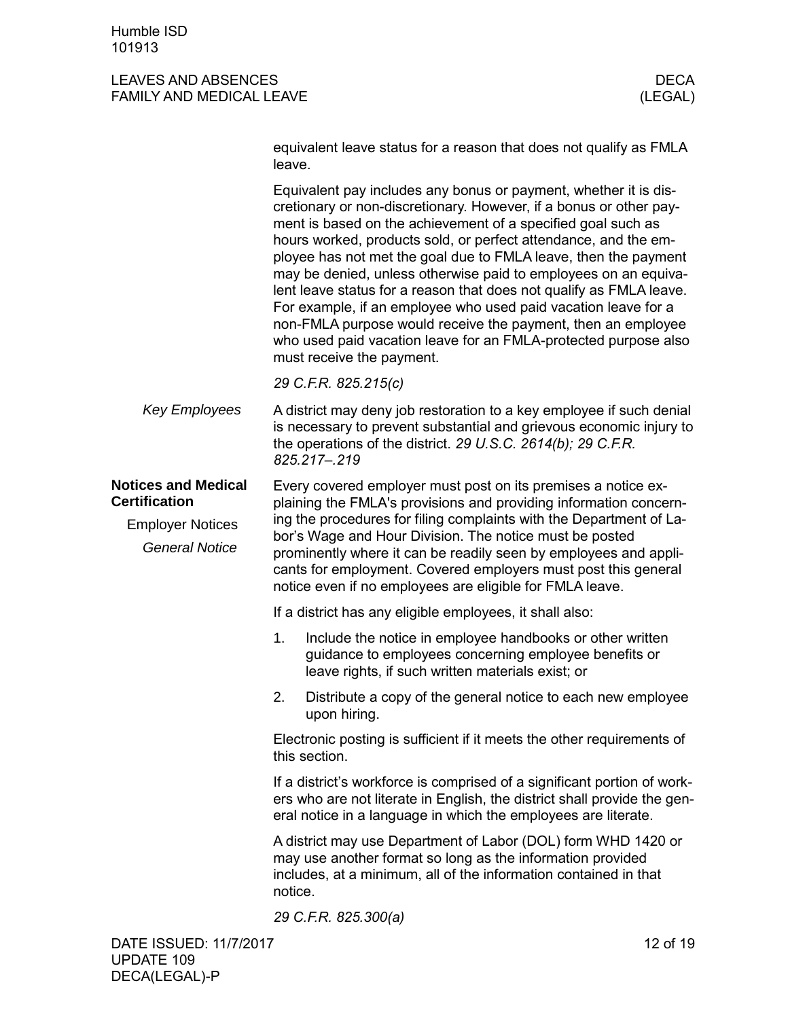<span id="page-11-1"></span><span id="page-11-0"></span>

|                                                    | equivalent leave status for a reason that does not qualify as FMLA<br>leave.                                                                                                                                                                                                                                                                                                                                                                                                                                                                                                                                                                                                                                             |
|----------------------------------------------------|--------------------------------------------------------------------------------------------------------------------------------------------------------------------------------------------------------------------------------------------------------------------------------------------------------------------------------------------------------------------------------------------------------------------------------------------------------------------------------------------------------------------------------------------------------------------------------------------------------------------------------------------------------------------------------------------------------------------------|
|                                                    | Equivalent pay includes any bonus or payment, whether it is dis-<br>cretionary or non-discretionary. However, if a bonus or other pay-<br>ment is based on the achievement of a specified goal such as<br>hours worked, products sold, or perfect attendance, and the em-<br>ployee has not met the goal due to FMLA leave, then the payment<br>may be denied, unless otherwise paid to employees on an equiva-<br>lent leave status for a reason that does not qualify as FMLA leave.<br>For example, if an employee who used paid vacation leave for a<br>non-FMLA purpose would receive the payment, then an employee<br>who used paid vacation leave for an FMLA-protected purpose also<br>must receive the payment. |
|                                                    | 29 C.F.R. 825.215(c)                                                                                                                                                                                                                                                                                                                                                                                                                                                                                                                                                                                                                                                                                                     |
| <b>Key Employees</b>                               | A district may deny job restoration to a key employee if such denial<br>is necessary to prevent substantial and grievous economic injury to<br>the operations of the district. 29 U.S.C. 2614(b); 29 C.F.R.<br>825.217-.219                                                                                                                                                                                                                                                                                                                                                                                                                                                                                              |
| <b>Notices and Medical</b><br><b>Certification</b> | Every covered employer must post on its premises a notice ex-<br>plaining the FMLA's provisions and providing information concern-                                                                                                                                                                                                                                                                                                                                                                                                                                                                                                                                                                                       |
| <b>Employer Notices</b><br><b>General Notice</b>   | ing the procedures for filing complaints with the Department of La-<br>bor's Wage and Hour Division. The notice must be posted<br>prominently where it can be readily seen by employees and appli-<br>cants for employment. Covered employers must post this general<br>notice even if no employees are eligible for FMLA leave.                                                                                                                                                                                                                                                                                                                                                                                         |
|                                                    | If a district has any eligible employees, it shall also:                                                                                                                                                                                                                                                                                                                                                                                                                                                                                                                                                                                                                                                                 |
|                                                    | 1.<br>Include the notice in employee handbooks or other written<br>guidance to employees concerning employee benefits or<br>leave rights, if such written materials exist; or                                                                                                                                                                                                                                                                                                                                                                                                                                                                                                                                            |
|                                                    | 2.<br>Distribute a copy of the general notice to each new employee<br>upon hiring.                                                                                                                                                                                                                                                                                                                                                                                                                                                                                                                                                                                                                                       |
|                                                    | Electronic posting is sufficient if it meets the other requirements of<br>this section.                                                                                                                                                                                                                                                                                                                                                                                                                                                                                                                                                                                                                                  |
|                                                    | If a district's workforce is comprised of a significant portion of work-<br>ers who are not literate in English, the district shall provide the gen-<br>eral notice in a language in which the employees are literate.                                                                                                                                                                                                                                                                                                                                                                                                                                                                                                   |
|                                                    | A district may use Department of Labor (DOL) form WHD 1420 or<br>may use another format so long as the information provided<br>includes, at a minimum, all of the information contained in that                                                                                                                                                                                                                                                                                                                                                                                                                                                                                                                          |
|                                                    | notice.                                                                                                                                                                                                                                                                                                                                                                                                                                                                                                                                                                                                                                                                                                                  |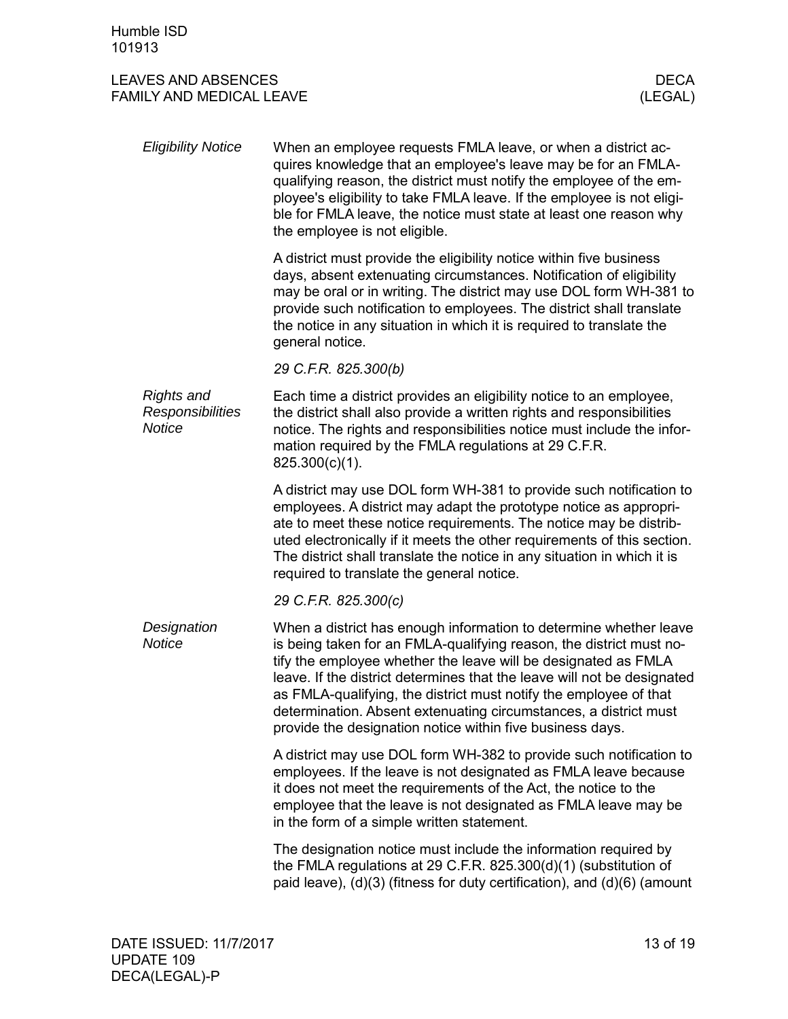| <b>Eligibility Notice</b>                                     | When an employee requests FMLA leave, or when a district ac-<br>quires knowledge that an employee's leave may be for an FMLA-<br>qualifying reason, the district must notify the employee of the em-<br>ployee's eligibility to take FMLA leave. If the employee is not eligi-<br>ble for FMLA leave, the notice must state at least one reason why<br>the employee is not eligible.                                                                                                        |
|---------------------------------------------------------------|---------------------------------------------------------------------------------------------------------------------------------------------------------------------------------------------------------------------------------------------------------------------------------------------------------------------------------------------------------------------------------------------------------------------------------------------------------------------------------------------|
|                                                               | A district must provide the eligibility notice within five business<br>days, absent extenuating circumstances. Notification of eligibility<br>may be oral or in writing. The district may use DOL form WH-381 to<br>provide such notification to employees. The district shall translate<br>the notice in any situation in which it is required to translate the<br>general notice.                                                                                                         |
|                                                               | 29 C.F.R. 825.300(b)                                                                                                                                                                                                                                                                                                                                                                                                                                                                        |
| <b>Rights and</b><br><b>Responsibilities</b><br><b>Notice</b> | Each time a district provides an eligibility notice to an employee,<br>the district shall also provide a written rights and responsibilities<br>notice. The rights and responsibilities notice must include the infor-<br>mation required by the FMLA regulations at 29 C.F.R.<br>825.300(c)(1).                                                                                                                                                                                            |
|                                                               | A district may use DOL form WH-381 to provide such notification to<br>employees. A district may adapt the prototype notice as appropri-<br>ate to meet these notice requirements. The notice may be distrib-<br>uted electronically if it meets the other requirements of this section.<br>The district shall translate the notice in any situation in which it is<br>required to translate the general notice.                                                                             |
|                                                               | 29 C.F.R. 825.300(c)                                                                                                                                                                                                                                                                                                                                                                                                                                                                        |
| Designation<br><b>Notice</b>                                  | When a district has enough information to determine whether leave<br>is being taken for an FMLA-qualifying reason, the district must no-<br>tify the employee whether the leave will be designated as FMLA<br>leave. If the district determines that the leave will not be designated<br>as FMLA-qualifying, the district must notify the employee of that<br>determination. Absent extenuating circumstances, a district must<br>provide the designation notice within five business days. |
|                                                               | A district may use DOL form WH-382 to provide such notification to<br>employees. If the leave is not designated as FMLA leave because<br>it does not meet the requirements of the Act, the notice to the<br>employee that the leave is not designated as FMLA leave may be<br>in the form of a simple written statement.                                                                                                                                                                    |
|                                                               | The designation notice must include the information required by<br>the FMLA regulations at 29 C.F.R. 825.300(d)(1) (substitution of<br>paid leave), $(d)(3)$ (fitness for duty certification), and $(d)(6)$ (amount                                                                                                                                                                                                                                                                         |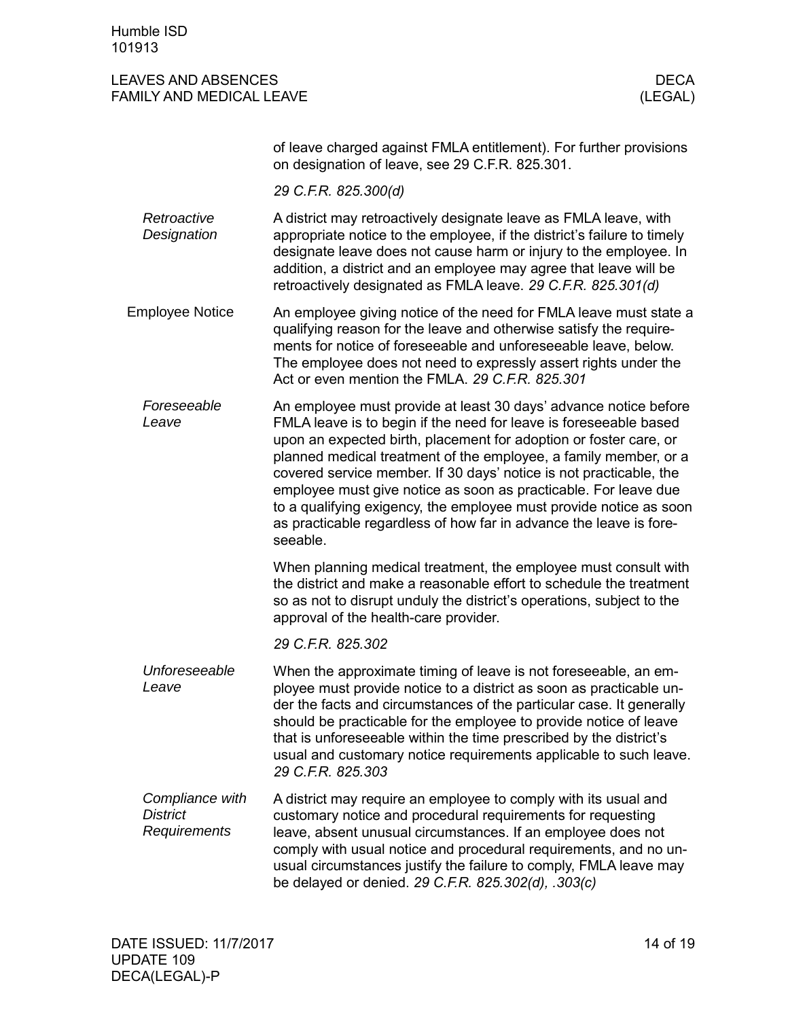Humble ISD 101913

<span id="page-13-0"></span>

|                                                    | of leave charged against FMLA entitlement). For further provisions<br>on designation of leave, see 29 C.F.R. 825.301.                                                                                                                                                                                                                                                                                                                                                                                                                                                           |
|----------------------------------------------------|---------------------------------------------------------------------------------------------------------------------------------------------------------------------------------------------------------------------------------------------------------------------------------------------------------------------------------------------------------------------------------------------------------------------------------------------------------------------------------------------------------------------------------------------------------------------------------|
|                                                    | 29 C.F.R. 825.300(d)                                                                                                                                                                                                                                                                                                                                                                                                                                                                                                                                                            |
| Retroactive<br>Designation                         | A district may retroactively designate leave as FMLA leave, with<br>appropriate notice to the employee, if the district's failure to timely<br>designate leave does not cause harm or injury to the employee. In<br>addition, a district and an employee may agree that leave will be<br>retroactively designated as FMLA leave. 29 C.F.R. 825.301(d)                                                                                                                                                                                                                           |
| <b>Employee Notice</b>                             | An employee giving notice of the need for FMLA leave must state a<br>qualifying reason for the leave and otherwise satisfy the require-<br>ments for notice of foreseeable and unforeseeable leave, below.<br>The employee does not need to expressly assert rights under the<br>Act or even mention the FMLA. 29 C.F.R. 825.301                                                                                                                                                                                                                                                |
| Foreseeable<br>Leave                               | An employee must provide at least 30 days' advance notice before<br>FMLA leave is to begin if the need for leave is foreseeable based<br>upon an expected birth, placement for adoption or foster care, or<br>planned medical treatment of the employee, a family member, or a<br>covered service member. If 30 days' notice is not practicable, the<br>employee must give notice as soon as practicable. For leave due<br>to a qualifying exigency, the employee must provide notice as soon<br>as practicable regardless of how far in advance the leave is fore-<br>seeable. |
|                                                    | When planning medical treatment, the employee must consult with<br>the district and make a reasonable effort to schedule the treatment<br>so as not to disrupt unduly the district's operations, subject to the<br>approval of the health-care provider.                                                                                                                                                                                                                                                                                                                        |
|                                                    | 29 C.F.R. 825.302                                                                                                                                                                                                                                                                                                                                                                                                                                                                                                                                                               |
| Unforeseeable<br>Leave                             | When the approximate timing of leave is not foreseeable, an em-<br>ployee must provide notice to a district as soon as practicable un-<br>der the facts and circumstances of the particular case. It generally<br>should be practicable for the employee to provide notice of leave<br>that is unforeseeable within the time prescribed by the district's<br>usual and customary notice requirements applicable to such leave.<br>29 C.F.R. 825.303                                                                                                                             |
| Compliance with<br><b>District</b><br>Requirements | A district may require an employee to comply with its usual and<br>customary notice and procedural requirements for requesting<br>leave, absent unusual circumstances. If an employee does not<br>comply with usual notice and procedural requirements, and no un-<br>usual circumstances justify the failure to comply, FMLA leave may<br>be delayed or denied. 29 C.F.R. 825.302(d), .303(c)                                                                                                                                                                                  |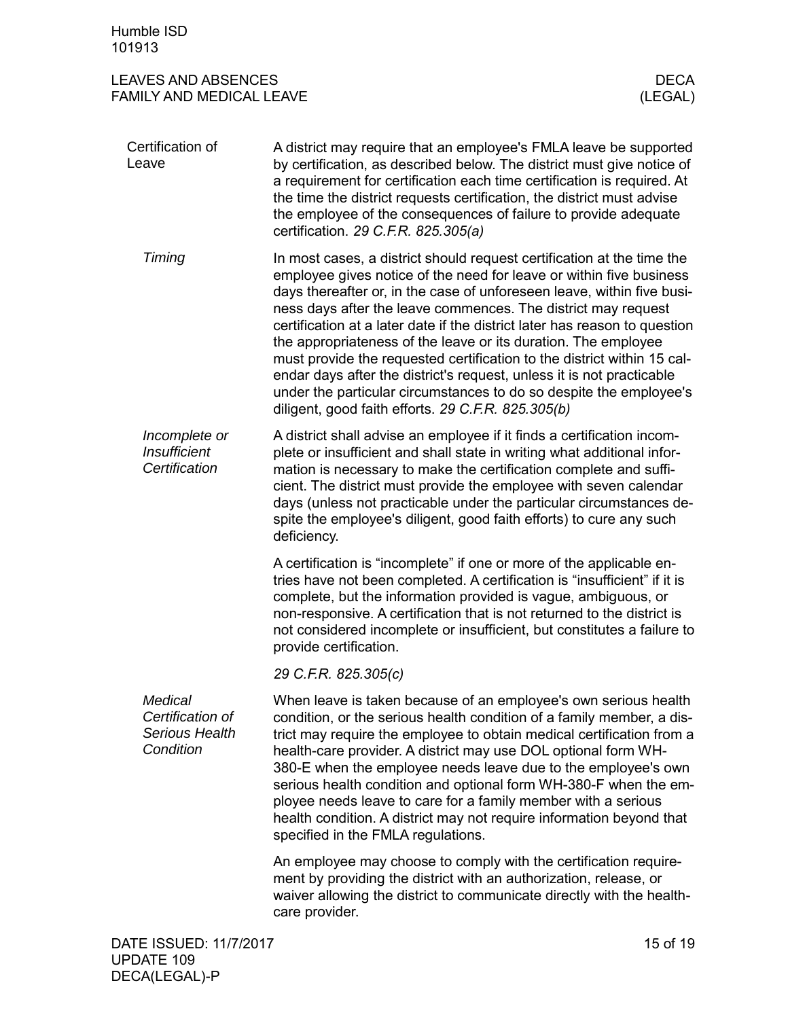<span id="page-14-0"></span>

| Humble ISD<br>101913                                              |                                                                                                                                                                                                                                                                                                                                                                                                                                                                                                                                                                                                                                                                                                                          |                        |
|-------------------------------------------------------------------|--------------------------------------------------------------------------------------------------------------------------------------------------------------------------------------------------------------------------------------------------------------------------------------------------------------------------------------------------------------------------------------------------------------------------------------------------------------------------------------------------------------------------------------------------------------------------------------------------------------------------------------------------------------------------------------------------------------------------|------------------------|
| <b>LEAVES AND ABSENCES</b><br><b>FAMILY AND MEDICAL LEAVE</b>     |                                                                                                                                                                                                                                                                                                                                                                                                                                                                                                                                                                                                                                                                                                                          | <b>DECA</b><br>(LEGAL) |
| Certification of<br>Leave                                         | A district may require that an employee's FMLA leave be supported<br>by certification, as described below. The district must give notice of<br>a requirement for certification each time certification is required. At<br>the time the district requests certification, the district must advise<br>the employee of the consequences of failure to provide adequate<br>certification. 29 C.F.R. 825.305(a)                                                                                                                                                                                                                                                                                                               |                        |
| Timing                                                            | In most cases, a district should request certification at the time the<br>employee gives notice of the need for leave or within five business<br>days thereafter or, in the case of unforeseen leave, within five busi-<br>ness days after the leave commences. The district may request<br>certification at a later date if the district later has reason to question<br>the appropriateness of the leave or its duration. The employee<br>must provide the requested certification to the district within 15 cal-<br>endar days after the district's request, unless it is not practicable<br>under the particular circumstances to do so despite the employee's<br>diligent, good faith efforts. 29 C.F.R. 825.305(b) |                        |
| Incomplete or<br><b>Insufficient</b><br>Certification             | A district shall advise an employee if it finds a certification incom-<br>plete or insufficient and shall state in writing what additional infor-<br>mation is necessary to make the certification complete and suffi-<br>cient. The district must provide the employee with seven calendar<br>days (unless not practicable under the particular circumstances de-<br>spite the employee's diligent, good faith efforts) to cure any such<br>deficiency.                                                                                                                                                                                                                                                                 |                        |
|                                                                   | A certification is "incomplete" if one or more of the applicable en-<br>tries have not been completed. A certification is "insufficient" if it is<br>complete, but the information provided is vague, ambiguous, or<br>non-responsive. A certification that is not returned to the district is<br>not considered incomplete or insufficient, but constitutes a failure to<br>provide certification.                                                                                                                                                                                                                                                                                                                      |                        |
|                                                                   | 29 C.F.R. 825.305(c)                                                                                                                                                                                                                                                                                                                                                                                                                                                                                                                                                                                                                                                                                                     |                        |
| Medical<br>Certification of<br><b>Serious Health</b><br>Condition | When leave is taken because of an employee's own serious health<br>condition, or the serious health condition of a family member, a dis-<br>trict may require the employee to obtain medical certification from a<br>health-care provider. A district may use DOL optional form WH-<br>380-E when the employee needs leave due to the employee's own<br>serious health condition and optional form WH-380-F when the em-<br>ployee needs leave to care for a family member with a serious<br>health condition. A district may not require information beyond that<br>specified in the FMLA regulations.                                                                                                                  |                        |
|                                                                   | An employee may choose to comply with the certification require-<br>ment by providing the district with an authorization, release, or<br>waiver allowing the district to communicate directly with the health-<br>care provider.                                                                                                                                                                                                                                                                                                                                                                                                                                                                                         |                        |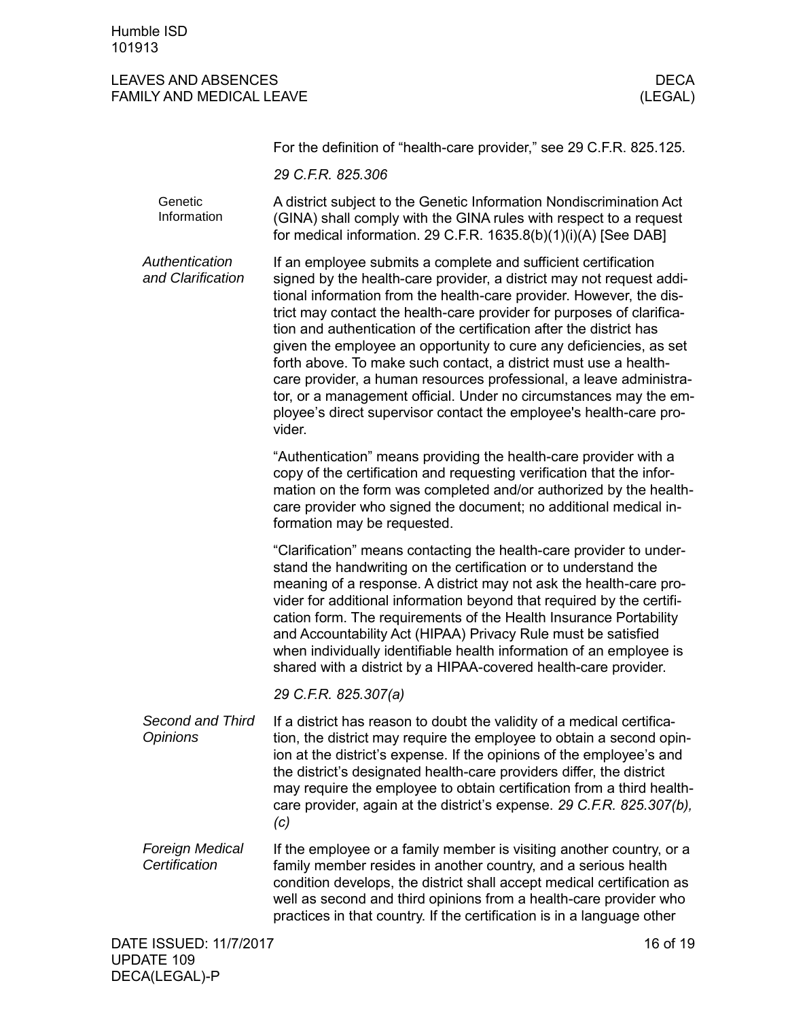|                                         | For the definition of "health-care provider," see 29 C.F.R. 825.125.                                                                                                                                                                                                                                                                                                                                                                                                                                                                                                                                                                                                                                                               |
|-----------------------------------------|------------------------------------------------------------------------------------------------------------------------------------------------------------------------------------------------------------------------------------------------------------------------------------------------------------------------------------------------------------------------------------------------------------------------------------------------------------------------------------------------------------------------------------------------------------------------------------------------------------------------------------------------------------------------------------------------------------------------------------|
|                                         | 29 C.F.R. 825.306                                                                                                                                                                                                                                                                                                                                                                                                                                                                                                                                                                                                                                                                                                                  |
| Genetic<br>Information                  | A district subject to the Genetic Information Nondiscrimination Act<br>(GINA) shall comply with the GINA rules with respect to a request<br>for medical information. 29 C.F.R. 1635.8(b)(1)(i)(A) [See DAB]                                                                                                                                                                                                                                                                                                                                                                                                                                                                                                                        |
| Authentication<br>and Clarification     | If an employee submits a complete and sufficient certification<br>signed by the health-care provider, a district may not request addi-<br>tional information from the health-care provider. However, the dis-<br>trict may contact the health-care provider for purposes of clarifica-<br>tion and authentication of the certification after the district has<br>given the employee an opportunity to cure any deficiencies, as set<br>forth above. To make such contact, a district must use a health-<br>care provider, a human resources professional, a leave administra-<br>tor, or a management official. Under no circumstances may the em-<br>ployee's direct supervisor contact the employee's health-care pro-<br>vider. |
|                                         | "Authentication" means providing the health-care provider with a<br>copy of the certification and requesting verification that the infor-<br>mation on the form was completed and/or authorized by the health-<br>care provider who signed the document; no additional medical in-<br>formation may be requested.                                                                                                                                                                                                                                                                                                                                                                                                                  |
|                                         | "Clarification" means contacting the health-care provider to under-<br>stand the handwriting on the certification or to understand the<br>meaning of a response. A district may not ask the health-care pro-<br>vider for additional information beyond that required by the certifi-<br>cation form. The requirements of the Health Insurance Portability<br>and Accountability Act (HIPAA) Privacy Rule must be satisfied<br>when individually identifiable health information of an employee is<br>shared with a district by a HIPAA-covered health-care provider.                                                                                                                                                              |
|                                         | 29 C.F.R. 825.307(a)                                                                                                                                                                                                                                                                                                                                                                                                                                                                                                                                                                                                                                                                                                               |
| Second and Third<br><b>Opinions</b>     | If a district has reason to doubt the validity of a medical certifica-<br>tion, the district may require the employee to obtain a second opin-<br>ion at the district's expense. If the opinions of the employee's and<br>the district's designated health-care providers differ, the district<br>may require the employee to obtain certification from a third health-<br>care provider, again at the district's expense. 29 C.F.R. 825.307(b),<br>(c)                                                                                                                                                                                                                                                                            |
| <b>Foreign Medical</b><br>Certification | If the employee or a family member is visiting another country, or a<br>family member resides in another country, and a serious health<br>condition develops, the district shall accept medical certification as<br>well as second and third opinions from a health-care provider who<br>practices in that country. If the certification is in a language other                                                                                                                                                                                                                                                                                                                                                                    |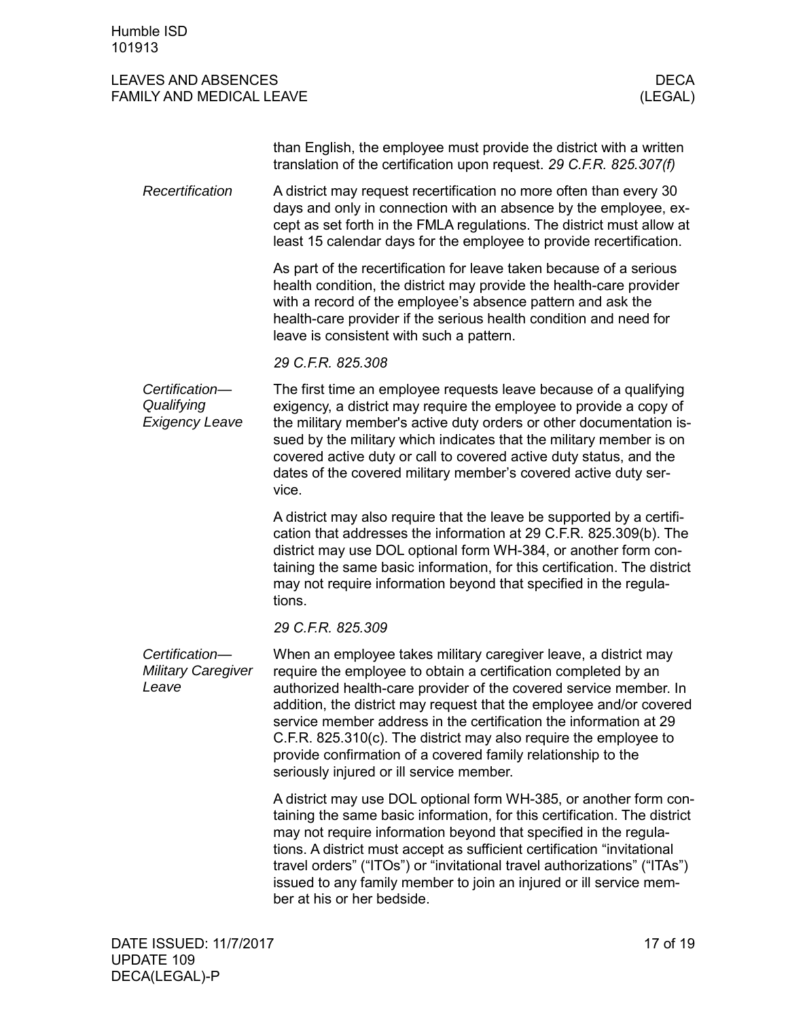#### LEAVES AND ABSENCES DECALL THE SERVE AND ARREST AND A LIMIT OF A LIMIT OF A LIMIT OF A LIMIT OF A LIMIT OF A LI FAMILY AND MEDICAL LEAVE (LEGAL)

than English, the employee must provide the district with a written translation of the certification upon request. *29 C.F.R. 825.307(f)*

A district may request recertification no more often than every 30 days and only in connection with an absence by the employee, except as set forth in the FMLA regulations. The district must allow at least 15 calendar days for the employee to provide recertification. *Recertification*

> As part of the recertification for leave taken because of a serious health condition, the district may provide the health-care provider with a record of the employee's absence pattern and ask the health-care provider if the serious health condition and need for leave is consistent with such a pattern.

*29 C.F.R. 825.308*

The first time an employee requests leave because of a qualifying exigency, a district may require the employee to provide a copy of the military member's active duty orders or other documentation issued by the military which indicates that the military member is on covered active duty or call to covered active duty status, and the dates of the covered military member's covered active duty service. *Certification— Qualifying Exigency Leave*

> A district may also require that the leave be supported by a certification that addresses the information at 29 C.F.R. 825.309(b). The district may use DOL optional form WH-384, or another form containing the same basic information, for this certification. The district may not require information beyond that specified in the regulations.

*29 C.F.R. 825.309*

When an employee takes military caregiver leave, a district may require the employee to obtain a certification completed by an authorized health-care provider of the covered service member. In addition, the district may request that the employee and/or covered service member address in the certification the information at 29 C.F.R. 825.310(c). The district may also require the employee to provide confirmation of a covered family relationship to the seriously injured or ill service member. *Certification— Military Caregiver Leave*

> A district may use DOL optional form WH-385, or another form containing the same basic information, for this certification. The district may not require information beyond that specified in the regulations. A district must accept as sufficient certification "invitational travel orders" ("ITOs") or "invitational travel authorizations" ("ITAs") issued to any family member to join an injured or ill service member at his or her bedside.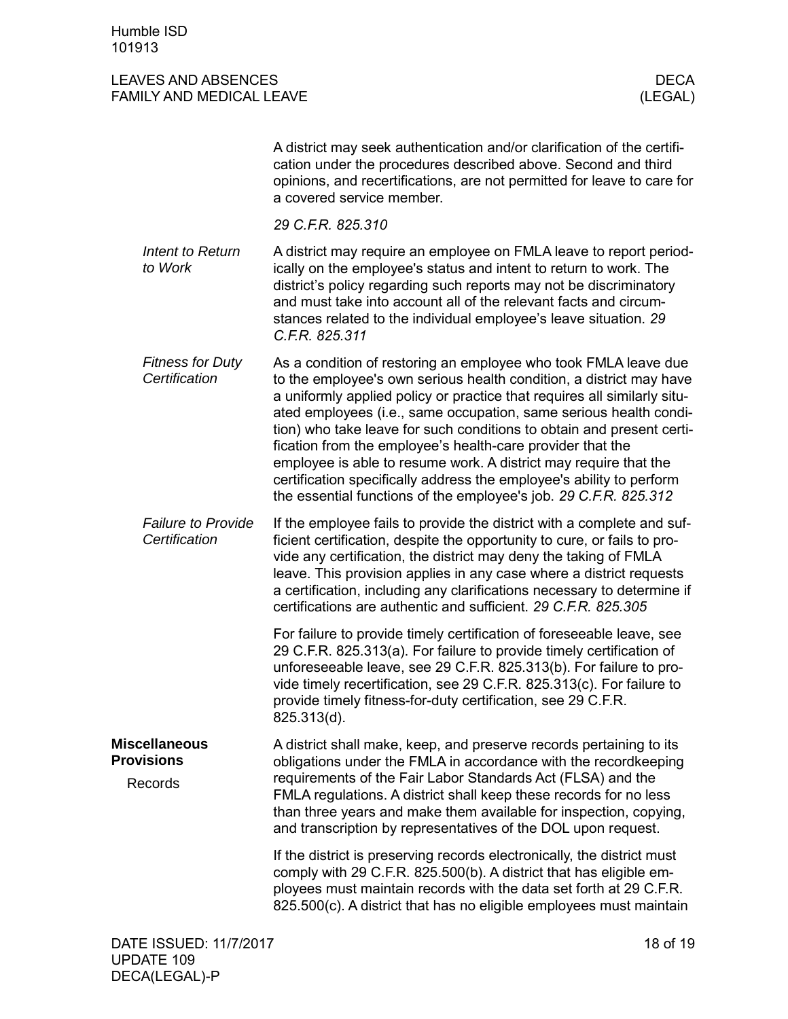<span id="page-17-1"></span><span id="page-17-0"></span>

|                                                      | A district may seek authentication and/or clarification of the certifi-<br>cation under the procedures described above. Second and third<br>opinions, and recertifications, are not permitted for leave to care for<br>a covered service member.                                                                                                                                                                                                                                                                                                                                                                                               |
|------------------------------------------------------|------------------------------------------------------------------------------------------------------------------------------------------------------------------------------------------------------------------------------------------------------------------------------------------------------------------------------------------------------------------------------------------------------------------------------------------------------------------------------------------------------------------------------------------------------------------------------------------------------------------------------------------------|
|                                                      | 29 C.F.R. 825.310                                                                                                                                                                                                                                                                                                                                                                                                                                                                                                                                                                                                                              |
| Intent to Return<br>to Work                          | A district may require an employee on FMLA leave to report period-<br>ically on the employee's status and intent to return to work. The<br>district's policy regarding such reports may not be discriminatory<br>and must take into account all of the relevant facts and circum-<br>stances related to the individual employee's leave situation. 29<br>C.F.R. 825.311                                                                                                                                                                                                                                                                        |
| <b>Fitness for Duty</b><br>Certification             | As a condition of restoring an employee who took FMLA leave due<br>to the employee's own serious health condition, a district may have<br>a uniformly applied policy or practice that requires all similarly situ-<br>ated employees (i.e., same occupation, same serious health condi-<br>tion) who take leave for such conditions to obtain and present certi-<br>fication from the employee's health-care provider that the<br>employee is able to resume work. A district may require that the<br>certification specifically address the employee's ability to perform<br>the essential functions of the employee's job. 29 C.F.R. 825.312 |
| <b>Failure to Provide</b><br>Certification           | If the employee fails to provide the district with a complete and suf-<br>ficient certification, despite the opportunity to cure, or fails to pro-<br>vide any certification, the district may deny the taking of FMLA<br>leave. This provision applies in any case where a district requests<br>a certification, including any clarifications necessary to determine if<br>certifications are authentic and sufficient. 29 C.F.R. 825.305                                                                                                                                                                                                     |
|                                                      | For failure to provide timely certification of foreseeable leave, see<br>29 C.F.R. 825.313(a). For failure to provide timely certification of<br>unforeseeable leave, see 29 C.F.R. 825.313(b). For failure to pro-<br>vide timely recertification, see 29 C.F.R. 825.313(c). For failure to<br>provide timely fitness-for-duty certification, see 29 C.F.R<br>825.313(d).                                                                                                                                                                                                                                                                     |
| <b>Miscellaneous</b><br><b>Provisions</b><br>Records | A district shall make, keep, and preserve records pertaining to its<br>obligations under the FMLA in accordance with the recordkeeping<br>requirements of the Fair Labor Standards Act (FLSA) and the<br>FMLA regulations. A district shall keep these records for no less<br>than three years and make them available for inspection, copying,<br>and transcription by representatives of the DOL upon request.                                                                                                                                                                                                                               |
|                                                      | If the district is preserving records electronically, the district must<br>comply with 29 C.F.R. 825.500(b). A district that has eligible em-<br>ployees must maintain records with the data set forth at 29 C.F.R.<br>825.500(c). A district that has no eligible employees must maintain                                                                                                                                                                                                                                                                                                                                                     |